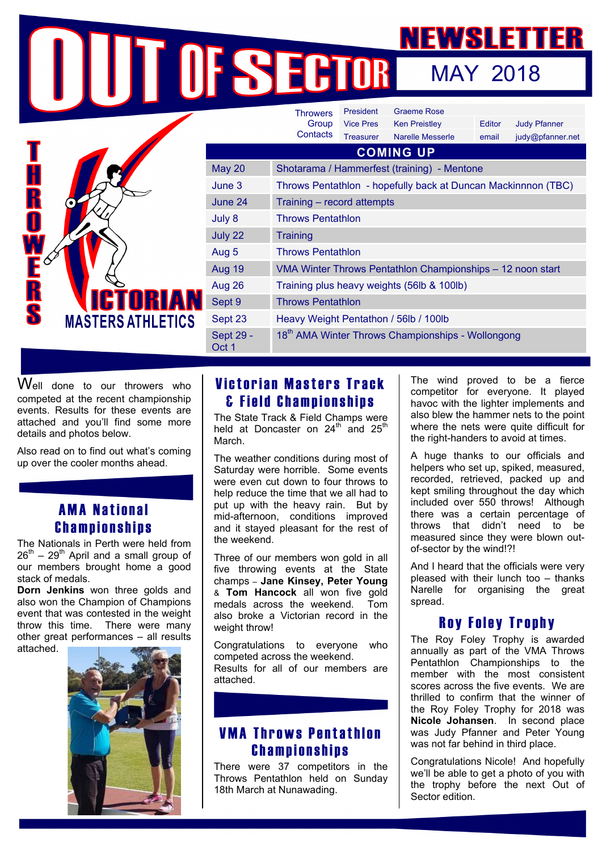MAY 2018

|                                    |                    | <b>Throwers</b>                                               | President        | <b>Graeme Rose</b>      |        |                     |
|------------------------------------|--------------------|---------------------------------------------------------------|------------------|-------------------------|--------|---------------------|
|                                    |                    | Group<br>Contacts                                             | <b>Vice Pres</b> | <b>Ken Preistley</b>    | Editor | <b>Judy Pfanner</b> |
|                                    |                    |                                                               | <b>Treasurer</b> | <b>Narelle Messerle</b> | email  | judy@pfanner.net    |
|                                    | <b>COMING UP</b>   |                                                               |                  |                         |        |                     |
| K                                  | <b>May 20</b>      | Shotarama / Hammerfest (training) - Mentone                   |                  |                         |        |                     |
|                                    | June 3             | Throws Pentathlon - hopefully back at Duncan Mackinnnon (TBC) |                  |                         |        |                     |
| R                                  | June 24            | Training - record attempts                                    |                  |                         |        |                     |
| O                                  | July 8             | <b>Throws Pentathlon</b>                                      |                  |                         |        |                     |
| R<br>S<br><b>MASTERS ATHLETICS</b> | July 22            | Training                                                      |                  |                         |        |                     |
|                                    | Aug 5              | <b>Throws Pentathlon</b>                                      |                  |                         |        |                     |
|                                    | <b>Aug 19</b>      | VMA Winter Throws Pentathlon Championships - 12 noon start    |                  |                         |        |                     |
|                                    | Aug 26             | Training plus heavy weights (56lb & 100lb)                    |                  |                         |        |                     |
|                                    | Sept 9             | <b>Throws Pentathlon</b>                                      |                  |                         |        |                     |
|                                    | Sept 23            | Heavy Weight Pentathon / 56lb / 100lb                         |                  |                         |        |                     |
|                                    | Sept 29 -<br>Oct 1 | 18 <sup>th</sup> AMA Winter Throws Championships - Wollongong |                  |                         |        |                     |

Well done to our throwers who competed at the recent championship events. Results for these events are attached and you'll find some more details and photos below.

Also read on to find out what's coming up over the cooler months ahead.

## AMA National Championships

The Nationals in Perth were held from  $26^{th}$  –  $29^{th}$  April and a small group of our members brought home a good stack of medals.

**Dorn Jenkins** won three golds and also won the Champion of Champions event that was contested in the weight throw this time. There were many other great performances – all results attached.



# Victorian Masters Track & Field Championships

The State Track & Field Champs were held at Doncaster on  $24^{\text{th}}$  and  $25^{\text{th}}$ **March** 

The weather conditions during most of Saturday were horrible. Some events were even cut down to four throws to help reduce the time that we all had to put up with the heavy rain. But by mid-afternoon, conditions improved and it stayed pleasant for the rest of the weekend.

Three of our members won gold in all five throwing events at the State champs – **Jane Kinsey, Peter Young** & **Tom Hancock** all won five gold medals across the weekend. Tom also broke a Victorian record in the weight throw!

Congratulations to everyone who competed across the weekend. Results for all of our members are attached.

## VMA Throws Pentathlon Championships

There were 37 competitors in the Throws Pentathlon held on Sunday 18th March at Nunawading.

The wind proved to be a fierce competitor for everyone. It played havoc with the lighter implements and also blew the hammer nets to the point where the nets were quite difficult for the right-handers to avoid at times.

A huge thanks to our officials and helpers who set up, spiked, measured, recorded, retrieved, packed up and kept smiling throughout the day which included over 550 throws! Although there was a certain percentage of throws that didn't need to be measured since they were blown outof-sector by the wind!?!

And I heard that the officials were very pleased with their lunch too – thanks Narelle for organising the great spread.

## Roy Foley Trophy

The Roy Foley Trophy is awarded annually as part of the VMA Throws Pentathlon Championships to the member with the most consistent scores across the five events. We are thrilled to confirm that the winner of the Roy Foley Trophy for 2018 was **Nicole Johansen**. In second place was Judy Pfanner and Peter Young was not far behind in third place.

Congratulations Nicole! And hopefully we'll be able to get a photo of you with the trophy before the next Out of Sector edition.